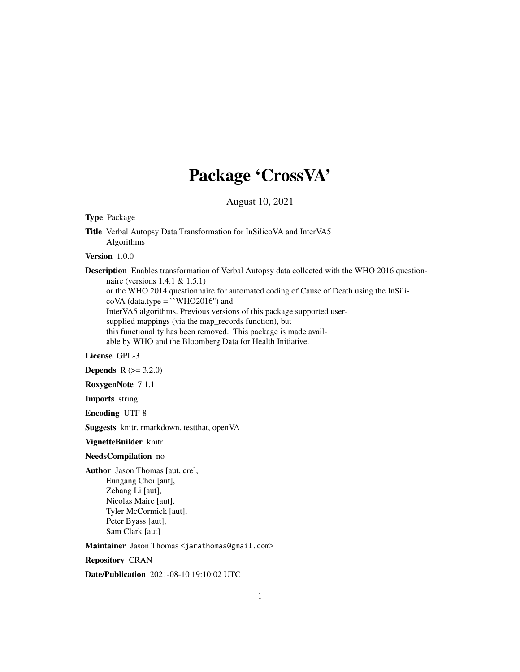## Package 'CrossVA'

August 10, 2021

Type Package

Title Verbal Autopsy Data Transformation for InSilicoVA and InterVA5 Algorithms

Version 1.0.0

Description Enables transformation of Verbal Autopsy data collected with the WHO 2016 questionnaire (versions 1.4.1 & 1.5.1)

or the WHO 2014 questionnaire for automated coding of Cause of Death using the InSili-

 $coVA$  (data.type = ``WHO2016'') and

InterVA5 algorithms. Previous versions of this package supported user-

supplied mappings (via the map\_records function), but

this functionality has been removed. This package is made avail-

able by WHO and the Bloomberg Data for Health Initiative.

#### License GPL-3

**Depends**  $R (= 3.2.0)$ 

RoxygenNote 7.1.1

Imports stringi

Encoding UTF-8

Suggests knitr, rmarkdown, testthat, openVA

VignetteBuilder knitr

#### NeedsCompilation no

Author Jason Thomas [aut, cre], Eungang Choi [aut], Zehang Li [aut], Nicolas Maire [aut], Tyler McCormick [aut], Peter Byass [aut], Sam Clark [aut]

Maintainer Jason Thomas <jarathomas@gmail.com>

Repository CRAN

Date/Publication 2021-08-10 19:10:02 UTC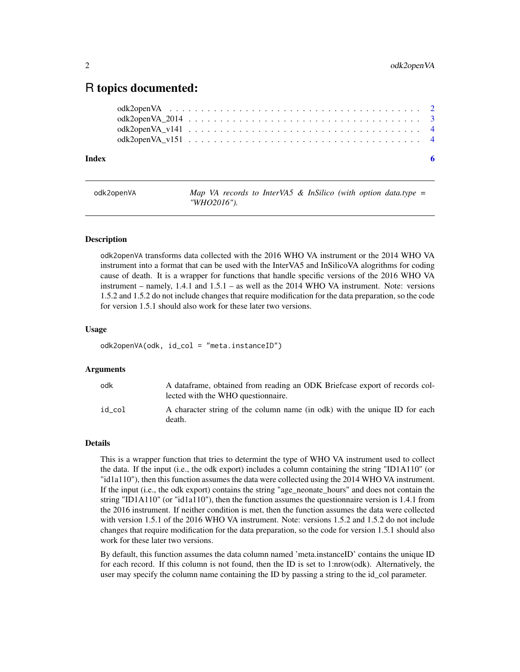### <span id="page-1-0"></span>R topics documented:

| Index |  |  |  |  |  |  |  |  |  |  |  |  |  |  |  |  | - 6 |
|-------|--|--|--|--|--|--|--|--|--|--|--|--|--|--|--|--|-----|

odk2openVA *Map VA records to InterVA5 & InSilico (with option data.type = "WHO2016").*

#### Description

odk2openVA transforms data collected with the 2016 WHO VA instrument or the 2014 WHO VA instrument into a format that can be used with the InterVA5 and InSilicoVA alogrithms for coding cause of death. It is a wrapper for functions that handle specific versions of the 2016 WHO VA instrument – namely, 1.4.1 and 1.5.1 – as well as the 2014 WHO VA instrument. Note: versions 1.5.2 and 1.5.2 do not include changes that require modification for the data preparation, so the code for version 1.5.1 should also work for these later two versions.

#### Usage

odk2openVA(odk, id\_col = "meta.instanceID")

#### Arguments

| odk    | A dataframe, obtained from reading an ODK Briefcase export of records col-<br>lected with the WHO question aire. |
|--------|------------------------------------------------------------------------------------------------------------------|
| id col | A character string of the column name (in odk) with the unique ID for each<br>death.                             |

#### Details

This is a wrapper function that tries to determint the type of WHO VA instrument used to collect the data. If the input (i.e., the odk export) includes a column containing the string "ID1A110" (or "id1a110"), then this function assumes the data were collected using the 2014 WHO VA instrument. If the input (i.e., the odk export) contains the string "age\_neonate\_hours" and does not contain the string "ID1A110" (or "id1a110"), then the function assumes the questionnaire version is 1.4.1 from the 2016 instrument. If neither condition is met, then the function assumes the data were collected with version 1.5.1 of the 2016 WHO VA instrument. Note: versions 1.5.2 and 1.5.2 do not include changes that require modification for the data preparation, so the code for version 1.5.1 should also work for these later two versions.

By default, this function assumes the data column named 'meta.instanceID' contains the unique ID for each record. If this column is not found, then the ID is set to 1:nrow(odk). Alternatively, the user may specify the column name containing the ID by passing a string to the id\_col parameter.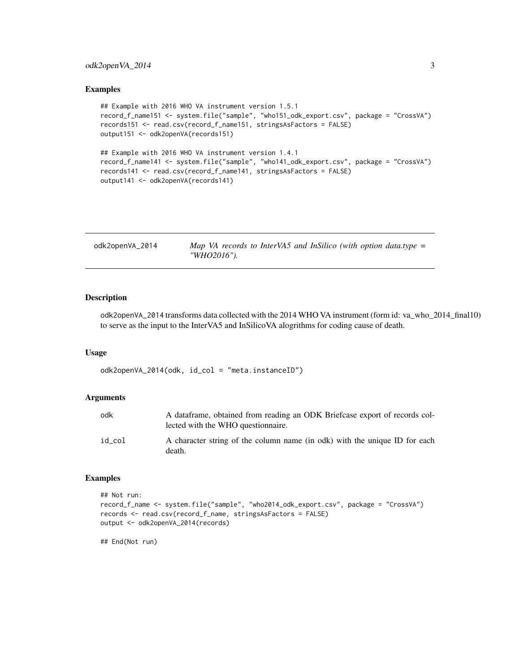#### <span id="page-2-0"></span>odk2openVA\_2014 3

#### Examples

```
## Example with 2016 WHO VA instrument version 1.5.1
record_f_name151 <- system.file("sample", "who151_odk_export.csv", package = "CrossVA")
records151 <- read.csv(record_f_name151, stringsAsFactors = FALSE)
output151 <- odk2openVA(records151)
## Example with 2016 WHO VA instrument version 1.4.1
record_f_name141 <- system.file("sample", "who141_odk_export.csv", package = "CrossVA")
records141 <- read.csv(record_f_name141, stringsAsFactors = FALSE)
output141 <- odk2openVA(records141)
```

| odk2openVA_2014 | Map VA records to InterVA5 and InSilico (with option data.type $=$ |
|-----------------|--------------------------------------------------------------------|
|                 | "WHO2016").                                                        |

#### Description

odk2openVA\_2014 transforms data collected with the 2014 WHO VA instrument (form id: va\_who\_2014\_final10) to serve as the input to the InterVA5 and InSilicoVA alogrithms for coding cause of death.

#### Usage

odk2openVA\_2014(odk, id\_col = "meta.instanceID")

#### Arguments

| odk    | A dataframe, obtained from reading an ODK Briefcase export of records col-<br>lected with the WHO question aire. |
|--------|------------------------------------------------------------------------------------------------------------------|
| id col | A character string of the column name (in odk) with the unique ID for each<br>death.                             |

#### Examples

```
## Not run:
record_f_name <- system.file("sample", "who2014_odk_export.csv", package = "CrossVA")
records <- read.csv(record_f_name, stringsAsFactors = FALSE)
output <- odk2openVA_2014(records)
```
## End(Not run)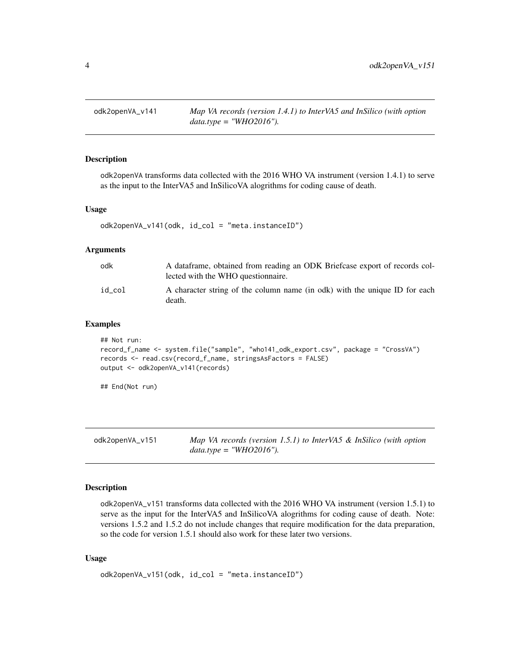<span id="page-3-0"></span>

#### Description

odk2openVA transforms data collected with the 2016 WHO VA instrument (version 1.4.1) to serve as the input to the InterVA5 and InSilicoVA alogrithms for coding cause of death.

#### Usage

```
odk2openVA_v141(odk, id_col = "meta.instanceID")
```
#### Arguments

| odk    | A dataframe, obtained from reading an ODK Briefcase export of records col-<br>lected with the WHO question aire. |
|--------|------------------------------------------------------------------------------------------------------------------|
| id col | A character string of the column name (in odk) with the unique ID for each<br>death.                             |

#### Examples

```
## Not run:
record_f_name <- system.file("sample", "who141_odk_export.csv", package = "CrossVA")
records <- read.csv(record_f_name, stringsAsFactors = FALSE)
output <- odk2openVA_v141(records)
```
## End(Not run)

odk2openVA\_v151 *Map VA records (version 1.5.1) to InterVA5 & InSilico (with option data.type = "WHO2016").*

#### Description

odk2openVA\_v151 transforms data collected with the 2016 WHO VA instrument (version 1.5.1) to serve as the input for the InterVA5 and InSilicoVA alogrithms for coding cause of death. Note: versions 1.5.2 and 1.5.2 do not include changes that require modification for the data preparation, so the code for version 1.5.1 should also work for these later two versions.

#### Usage

```
odk2openVA_v151(odk, id_col = "meta.instanceID")
```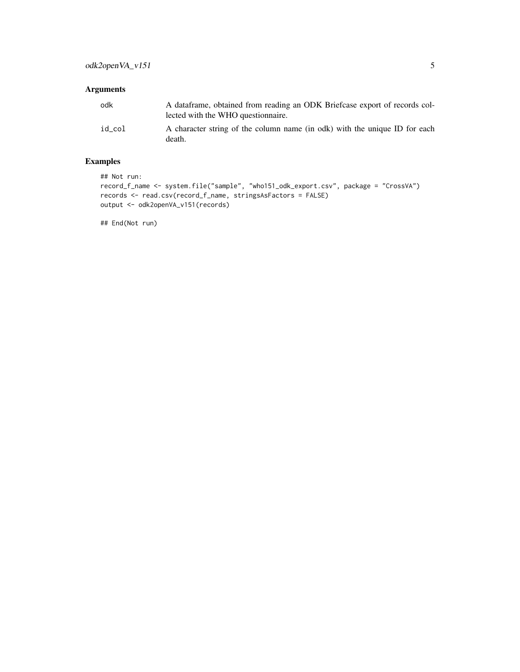#### Arguments

| odk    | A dataframe, obtained from reading an ODK Briefcase export of records col-<br>lected with the WHO question aire. |
|--------|------------------------------------------------------------------------------------------------------------------|
| id col | A character string of the column name (in odk) with the unique ID for each<br>death.                             |

#### Examples

## Not run:

```
record_f_name <- system.file("sample", "who151_odk_export.csv", package = "CrossVA")
records <- read.csv(record_f_name, stringsAsFactors = FALSE)
output <- odk2openVA_v151(records)
```
## End(Not run)